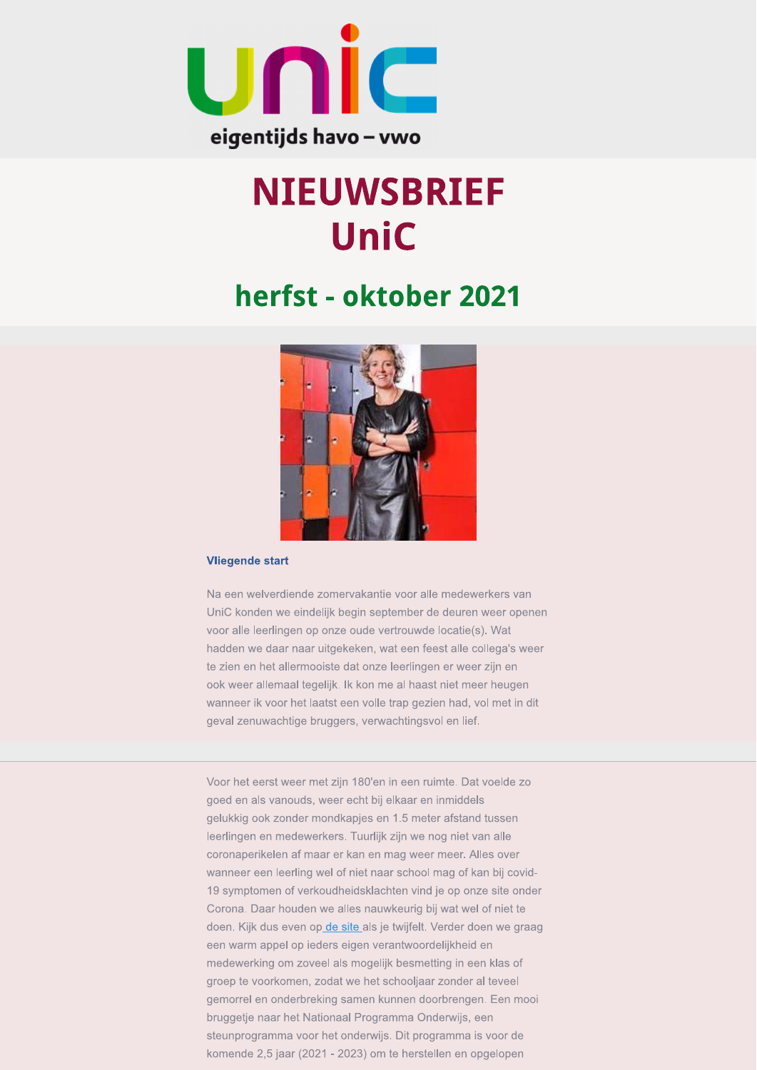

# **NIEUWSBRIEF UniC**

# herfst - oktober 2021



#### **Vliegende start**

Na een welverdiende zomervakantie voor alle medewerkers van UniC konden we eindelijk begin september de deuren weer openen voor alle leerlingen op onze oude vertrouwde locatie(s). Wat hadden we daar naar uitgekeken, wat een feest alle collega's weer te zien en het allermooiste dat onze leerlingen er weer zijn en ook weer allemaal tegelijk. Ik kon me al haast niet meer heugen wanneer ik voor het laatst een volle trap gezien had, vol met in dit geval zenuwachtige bruggers, verwachtingsvol en lief.

Voor het eerst weer met zijn 180'en in een ruimte. Dat voelde zo goed en als vanouds, weer echt bij elkaar en inmiddels gelukkig ook zonder mondkapjes en 1.5 meter afstand tussen leerlingen en medewerkers. Tuurlijk zijn we nog niet van alle coronaperikelen af maar er kan en mag weer meer. Alles over wanneer een leerling wel of niet naar school mag of kan bij covid-19 symptomen of verkoudheidsklachten vind je op onze site onder Corona. Daar houden we alles nauwkeurig bij wat wel of niet te doen. Kijk dus even op de site als je twijfelt. Verder doen we graag een warm appel op ieders eigen verantwoordelijkheid en medewerking om zoveel als mogelijk besmetting in een klas of groep te voorkomen, zodat we het schooljaar zonder al teveel gemorrel en onderbreking samen kunnen doorbrengen. Een mooi bruggetje naar het Nationaal Programma Onderwijs, een steunprogramma voor het onderwijs. Dit programma is voor de komende 2,5 jaar (2021 - 2023) om te herstellen en opgelopen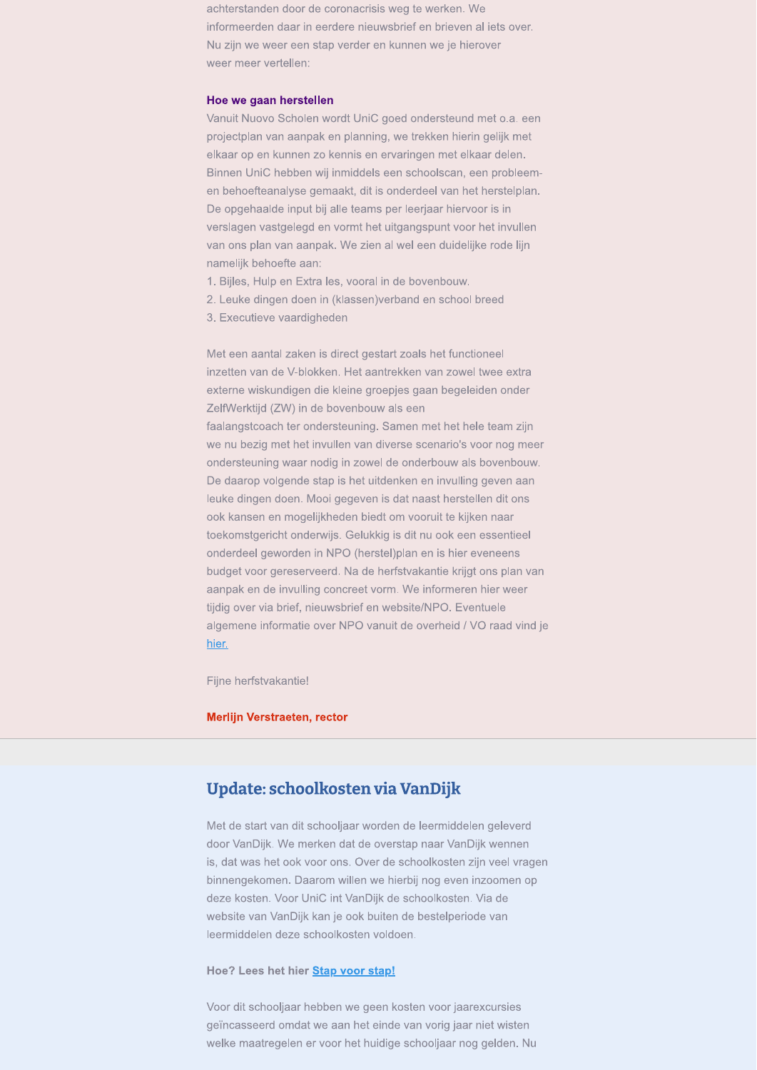achterstanden door de coronacrisis weg te werken. We informeerden daar in eerdere nieuwsbrief en brieven al iets over. Nu zijn we weer een stap verder en kunnen we je hierover weer meer vertellen:

#### Hoe we gaan herstellen

Vanuit Nuovo Scholen wordt UniC goed ondersteund met o.a. een projectplan van aanpak en planning, we trekken hierin gelijk met elkaar op en kunnen zo kennis en ervaringen met elkaar delen. Binnen UniC hebben wij inmiddels een schoolscan, een probleemen behoefteanalyse gemaakt, dit is onderdeel van het herstelplan. De opgehaalde input bij alle teams per leerjaar hiervoor is in verslagen vastgelegd en vormt het uitgangspunt voor het invullen van ons plan van aanpak. We zien al wel een duidelijke rode lijn namelijk behoefte aan:

- 1. Bijles, Hulp en Extra les, vooral in de bovenbouw.
- 2. Leuke dingen doen in (klassen)verband en school breed
- 3. Executieve vaardigheden

Met een aantal zaken is direct gestart zoals het functioneel inzetten van de V-blokken. Het aantrekken van zowel twee extra externe wiskundigen die kleine groepjes gaan begeleiden onder ZelfWerktijd (ZW) in de bovenbouw als een faalangstcoach ter ondersteuning. Samen met het hele team zijn we nu bezig met het invullen van diverse scenario's voor nog meer ondersteuning waar nodig in zowel de onderbouw als bovenbouw. De daarop volgende stap is het uitdenken en invulling geven aan leuke dingen doen. Mooi gegeven is dat naast herstellen dit ons ook kansen en mogelijkheden biedt om vooruit te kijken naar toekomstgericht onderwijs. Gelukkig is dit nu ook een essentieel onderdeel geworden in NPO (herstel)plan en is hier eveneens budget voor gereserveerd. Na de herfstvakantie krijgt ons plan van aanpak en de invulling concreet vorm. We informeren hier weer tijdig over via brief, nieuwsbrief en website/NPO. Eventuele algemene informatie over NPO vanuit de overheid / VO raad vind je hier.

Fijne herfstvakantie!

#### Merlijn Verstraeten, rector

# Update: schoolkosten via VanDijk

Met de start van dit schooljaar worden de leermiddelen geleverd door VanDijk. We merken dat de overstap naar VanDijk wennen is, dat was het ook voor ons. Over de schoolkosten zijn veel vragen binnengekomen. Daarom willen we hierbij nog even inzoomen op deze kosten. Voor UniC int VanDijk de schoolkosten. Via de website van VanDijk kan je ook buiten de bestelperiode van leermiddelen deze schoolkosten voldoen.

#### Hoe? Lees het hier Stap voor stap!

Voor dit schooljaar hebben we geen kosten voor jaarexcursies geïncasseerd omdat we aan het einde van vorig jaar niet wisten welke maatregelen er voor het huidige schooljaar nog gelden. Nu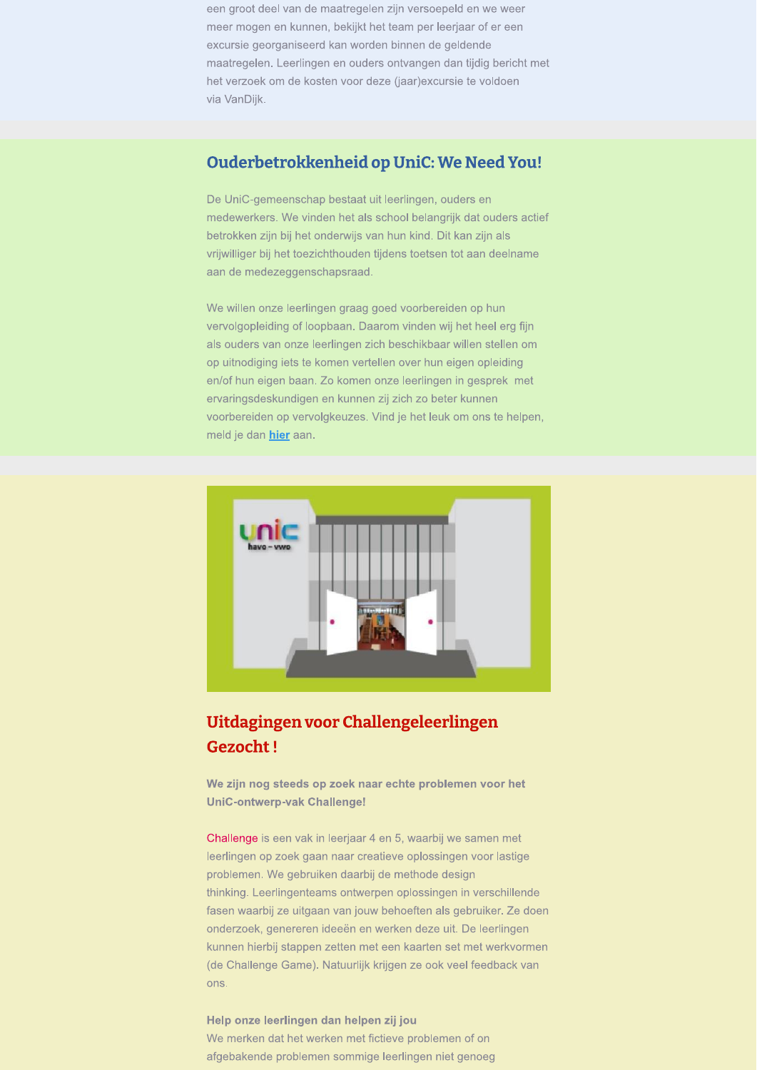een groot deel van de maatregelen zijn versoepeld en we weer meer mogen en kunnen, bekijkt het team per leerjaar of er een excursie georganiseerd kan worden binnen de geldende maatregelen. Leerlingen en ouders ontvangen dan tijdig bericht met het verzoek om de kosten voor deze (jaar)excursie te voldoen via VanDijk.

# Ouderbetrokkenheid op UniC: We Need You!

De UniC-gemeenschap bestaat uit leerlingen, ouders en medewerkers. We vinden het als school belangrijk dat ouders actief betrokken zijn bij het onderwijs van hun kind. Dit kan zijn als vrijwilliger bij het toezichthouden tijdens toetsen tot aan deelname aan de medezeggenschapsraad.

We willen onze leerlingen graag goed voorbereiden op hun vervolgopleiding of loopbaan. Daarom vinden wij het heel erg fijn als ouders van onze leerlingen zich beschikbaar willen stellen om op uitnodiging iets te komen vertellen over hun eigen opleiding en/of hun eigen baan. Zo komen onze leerlingen in gesprek met ervaringsdeskundigen en kunnen zij zich zo beter kunnen voorbereiden op vervolgkeuzes. Vind je het leuk om ons te helpen, meld je dan hier aan.



# Uitdagingen voor Challengeleerlingen **Gezocht!**

We zijn nog steeds op zoek naar echte problemen voor het **UniC-ontwerp-vak Challenge!** 

Challenge is een vak in leerjaar 4 en 5, waarbij we samen met leerlingen op zoek gaan naar creatieve oplossingen voor lastige problemen. We gebruiken daarbij de methode design thinking. Leerlingenteams ontwerpen oplossingen in verschillende fasen waarbij ze uitgaan van jouw behoeften als gebruiker. Ze doen onderzoek, genereren ideeën en werken deze uit. De leerlingen kunnen hierbij stappen zetten met een kaarten set met werkvormen (de Challenge Game). Natuurlijk krijgen ze ook veel feedback van ons.

Help onze leerlingen dan helpen zij jou We merken dat het werken met fictieve problemen of on afgebakende problemen sommige leerlingen niet genoeg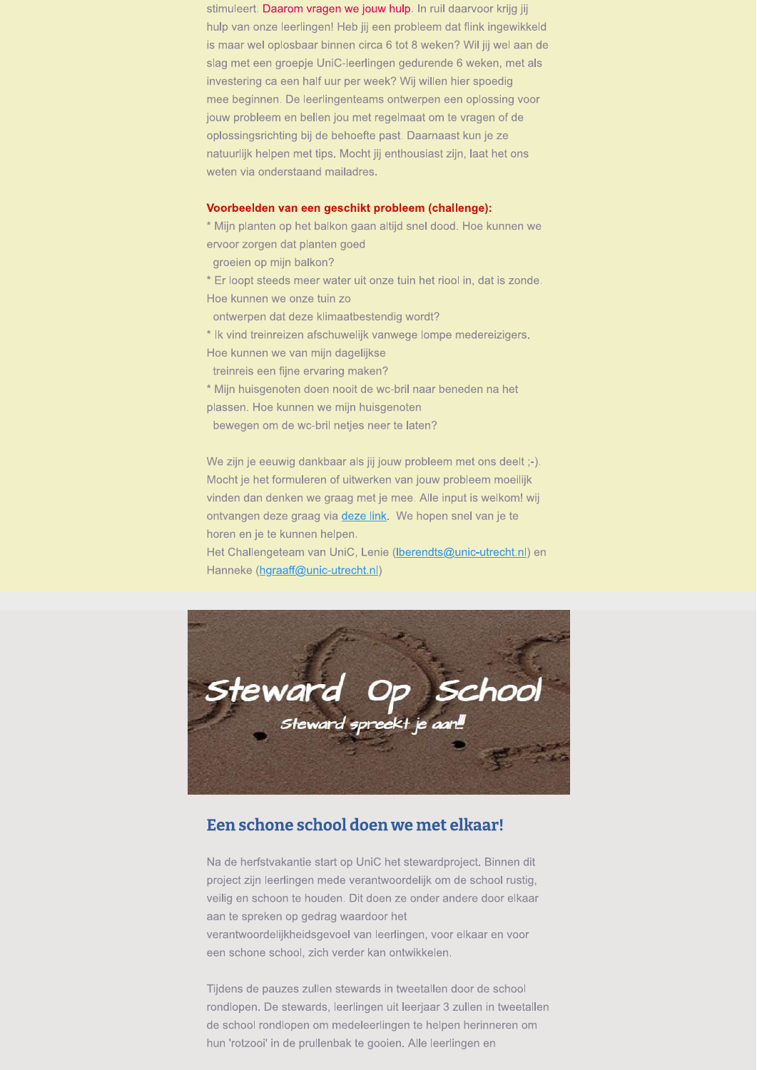stimuleert. Daarom vragen we jouw hulp. In ruil daarvoor krijg jij hulp van onze leerlingen! Heb jij een probleem dat flink ingewikkeld is maar wel oplosbaar binnen circa 6 tot 8 weken? Wil jij wel aan de slag met een groepje UniC-leerlingen gedurende 6 weken, met als investering ca een half uur per week? Wij willen hier spoedig mee beginnen. De leerlingenteams ontwerpen een oplossing voor jouw probleem en bellen jou met regelmaat om te vragen of de oplossingsrichting bij de behoefte past. Daarnaast kun je ze natuurlijk helpen met tips. Mocht jij enthousiast zijn, laat het ons weten via onderstaand mailadres.

#### Voorbeelden van een geschikt probleem (challenge):

\* Mijn planten op het balkon gaan altijd snel dood. Hoe kunnen we ervoor zorgen dat planten goed

groeien op mijn balkon?

\* Er loopt steeds meer water uit onze tuin het riool in, dat is zonde. Hoe kunnen we onze tuin zo

ontwerpen dat deze klimaatbestendig wordt?

\* Ik vind treinreizen afschuwelijk vanwege lompe medereizigers.

Hoe kunnen we van mijn dagelijkse

treinreis een fijne ervaring maken?

\* Mijn huisgenoten doen nooit de wc-bril naar beneden na het plassen. Hoe kunnen we mijn huisgenoten

bewegen om de wc-bril netjes neer te laten?

We zijn je eeuwig dankbaar als jij jouw probleem met ons deelt ;-). Mocht je het formuleren of uitwerken van jouw probleem moeilijk vinden dan denken we graag met je mee. Alle input is welkom! wij ontvangen deze graag via deze link. We hopen snel van je te horen en je te kunnen helpen.

Het Challengeteam van UniC, Lenie (Iberendts@unic-utrecht.nl) en Hanneke (hgraaff@unic-utrecht.nl)



# Een schone school doen we met elkaar!

Na de herfstvakantie start op UniC het stewardproject. Binnen dit project zijn leerlingen mede verantwoordelijk om de school rustig, veilig en schoon te houden. Dit doen ze onder andere door elkaar aan te spreken op gedrag waardoor het verantwoordelijkheidsgevoel van leerlingen, voor elkaar en voor een schone school, zich verder kan ontwikkelen.

Tijdens de pauzes zullen stewards in tweetallen door de school rondlopen. De stewards, leerlingen uit leerjaar 3 zullen in tweetallen de school rondlopen om medeleerlingen te helpen herinneren om hun 'rotzooi' in de prullenbak te gooien. Alle leerlingen en